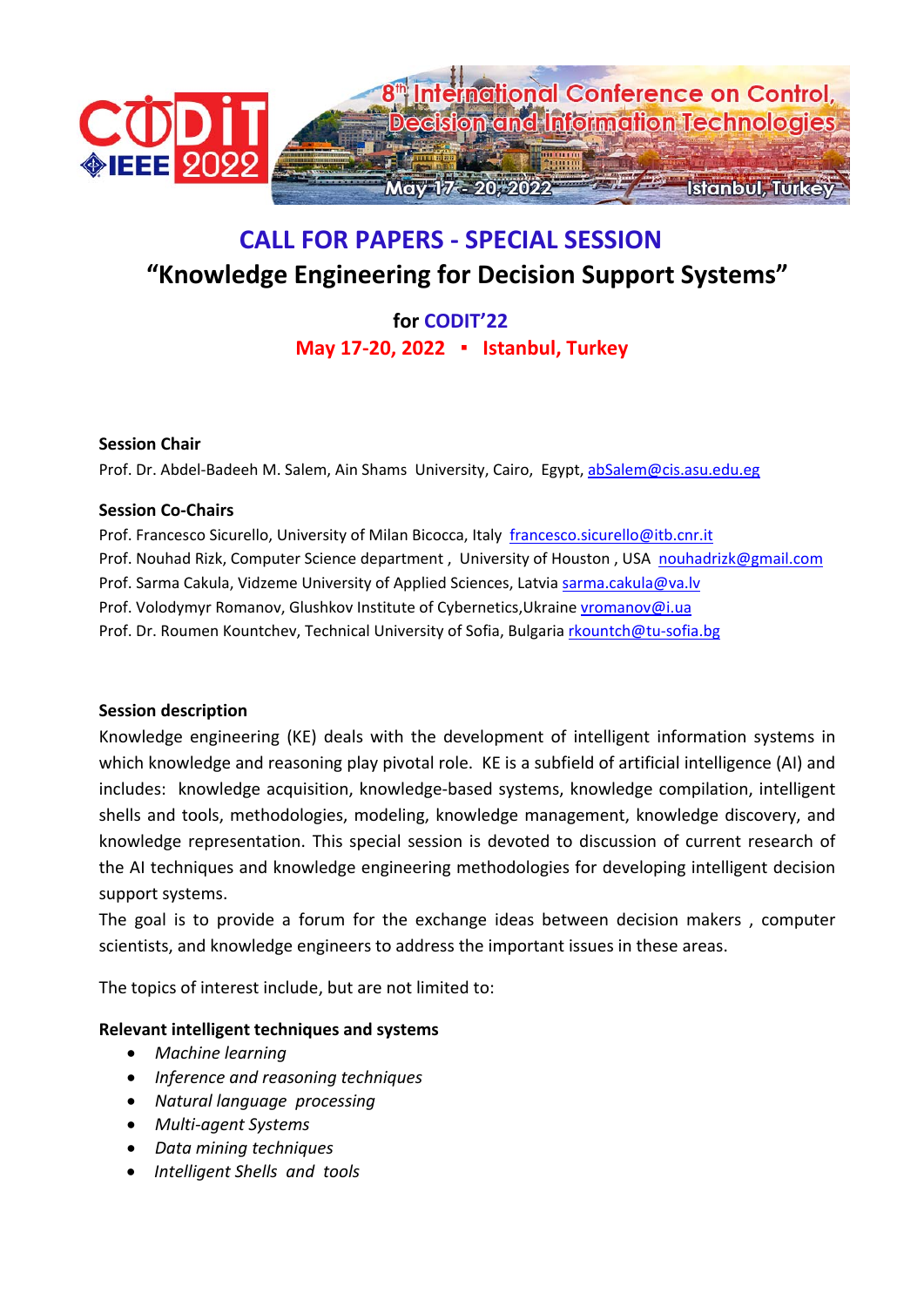

# **CALL FOR PAPERS ‐ SPECIAL SESSION "Knowledge Engineering for Decision Support Systems"**

# **for CODIT'22 May 17‐20, 2022 ▪ Istanbul, Turkey**

### **Session Chair**

Prof. Dr. Abdel‐Badeeh M. Salem, Ain Shams University, Cairo, Egypt, abSalem@cis.asu.edu.eg

# **Session Co‐Chairs**

Prof. Francesco Sicurello, University of Milan Bicocca, Italy francesco.sicurello@itb.cnr.it Prof. Nouhad Rizk, Computer Science department, University of Houston, USA nouhadrizk@gmail.com Prof. Sarma Cakula, Vidzeme University of Applied Sciences, Latvia sarma.cakula@va.lv Prof. Volodymyr Romanov, Glushkov Institute of Cybernetics, Ukraine vromanov@i.ua Prof. Dr. Roumen Kountchev, Technical University of Sofia, Bulgaria rkountch@tu-sofia.bg

# **Session description**

Knowledge engineering (KE) deals with the development of intelligent information systems in which knowledge and reasoning play pivotal role. KE is a subfield of artificial intelligence (AI) and includes: knowledge acquisition, knowledge‐based systems, knowledge compilation, intelligent shells and tools, methodologies, modeling, knowledge management, knowledge discovery, and knowledge representation. This special session is devoted to discussion of current research of the AI techniques and knowledge engineering methodologies for developing intelligent decision support systems.

The goal is to provide a forum for the exchange ideas between decision makers , computer scientists, and knowledge engineers to address the important issues in these areas.

The topics of interest include, but are not limited to:

# **Relevant intelligent techniques and systems**

- *Machine learning*
- *Inference and reasoning techniques*
- *Natural language processing*
- *Multi‐agent Systems*
- *Data mining techniques*
- *Intelligent Shells and tools*